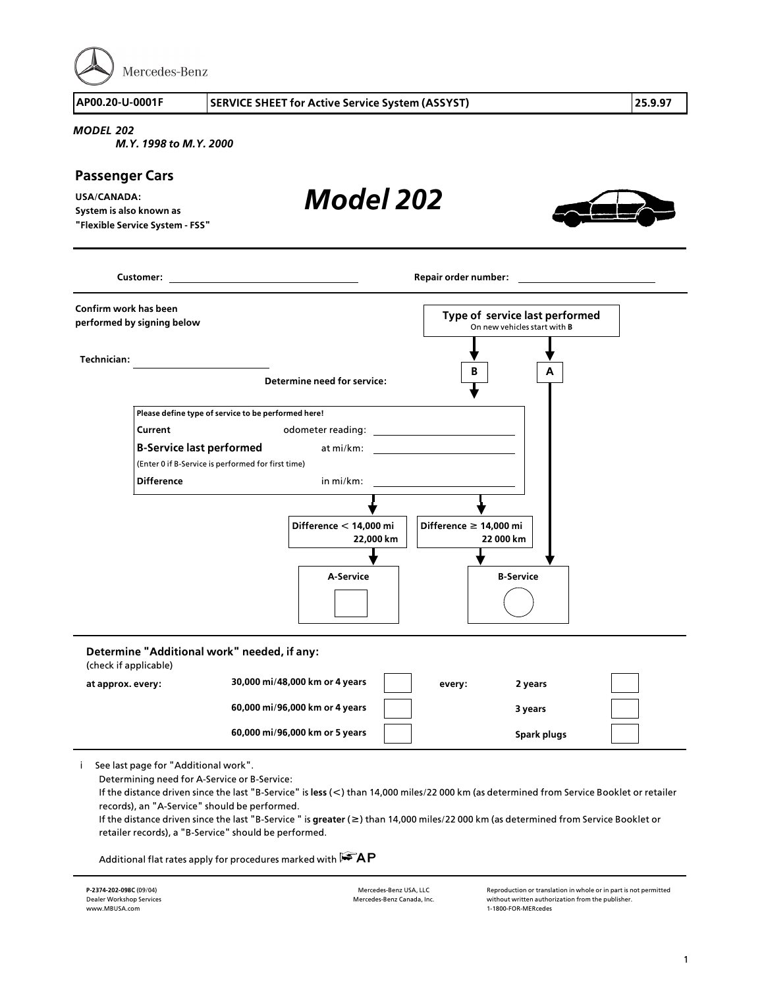

## *MODEL 202*

*M.Y. 1998 to M.Y. 2000*

## **Passenger Cars**

**USA/CANADA: System is also known as "Flexible Service System > FSS"** *Model 202*



|                       | <b>Customer:</b> and the contract of the contract of the contract of the contract of the contract of the contract of the contract of the contract of the contract of the contract of the contract of the contract of the contract o |                                                                  | Repair order number:                                                  |
|-----------------------|-------------------------------------------------------------------------------------------------------------------------------------------------------------------------------------------------------------------------------------|------------------------------------------------------------------|-----------------------------------------------------------------------|
| Confirm work has been | performed by signing below                                                                                                                                                                                                          |                                                                  | Type of service last performed<br>On new vehicles start with <b>B</b> |
| <b>Technician:</b>    |                                                                                                                                                                                                                                     | Determine need for service:                                      | В<br>A                                                                |
|                       | Please define type of service to be performed here!<br>Current<br><b>B-Service last performed</b>                                                                                                                                   | odometer reading:<br>at mi/km:                                   | <u> 1989 - Andrea Station Books, amerikansk politik (</u>             |
|                       | (Enter 0 if B-Service is performed for first time)<br><b>Difference</b>                                                                                                                                                             | in mi/km:                                                        |                                                                       |
|                       |                                                                                                                                                                                                                                     | Difference < 14,000 mi<br>22,000 km                              | Difference ≥ 14,000 mi<br>22 000 km                                   |
|                       |                                                                                                                                                                                                                                     | A-Service                                                        | <b>B-Service</b>                                                      |
| (check if applicable) | Determine "Additional work" needed, if any:                                                                                                                                                                                         |                                                                  |                                                                       |
| at approx. every:     |                                                                                                                                                                                                                                     | 30,000 mi/48,000 km or 4 years                                   | 2 years<br>every:                                                     |
|                       |                                                                                                                                                                                                                                     | 60,000 mi/96,000 km or 4 years<br>60,000 mi/96,000 km or 5 years | 3 years<br>Spark plugs                                                |

i See last page for "Additional work".

Determining need for A>Service or B>Service:

If the distance driven since the last "B>Service" is **less** (**<**) than 14,000 miles/22 000 km (as determined from Service Booklet or retailer records), an "A>Service" should be performed.

If the distance driven since the last "B>Service " is **greater** (**f**) than 14,000 miles/22 000 km (as determined from Service Booklet or retailer records), a "B-Service" should be performed.

Additional flat rates apply for procedures marked with  $\mathbb{F}\widehat{A}P$ 

Mercedes>Benz USA, LLC Mercedes>Benz Canada, Inc. Reproduction or translation in whole or in part is not permitted without written authorization from the publisher. <sup>1</sup>>1800>FOR>MERcedes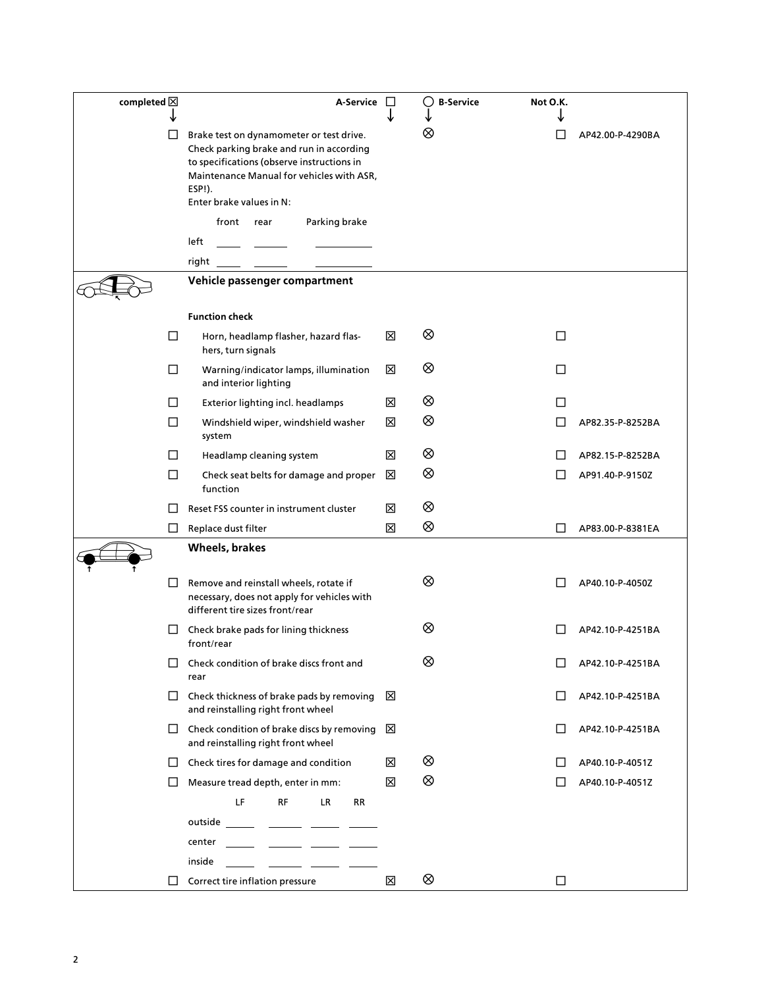| completed $\boxtimes$ |        | A-Service                                                                                                                                                                                                             | $\perp$           | ( )B-Service | Not O.K.     |                  |
|-----------------------|--------|-----------------------------------------------------------------------------------------------------------------------------------------------------------------------------------------------------------------------|-------------------|--------------|--------------|------------------|
|                       |        | Brake test on dynamometer or test drive.<br>Check parking brake and run in according<br>to specifications (observe instructions in<br>Maintenance Manual for vehicles with ASR,<br>ESP!).<br>Enter brake values in N: |                   | ⊗            |              | AP42.00-P-4290BA |
|                       |        | front rear<br>Parking brake                                                                                                                                                                                           |                   |              |              |                  |
|                       |        | left                                                                                                                                                                                                                  |                   |              |              |                  |
|                       |        | right                                                                                                                                                                                                                 |                   |              |              |                  |
|                       |        | Vehicle passenger compartment                                                                                                                                                                                         |                   |              |              |                  |
|                       |        | <b>Function check</b>                                                                                                                                                                                                 |                   |              |              |                  |
|                       | $\Box$ | Horn, headlamp flasher, hazard flas-<br>hers, turn signals                                                                                                                                                            | ⊠                 | ⊗            | П            |                  |
|                       | □      | Warning/indicator lamps, illumination<br>and interior lighting                                                                                                                                                        | 区                 | ⊗            | □            |                  |
|                       | □      | Exterior lighting incl. headlamps                                                                                                                                                                                     | 区                 | ⊗            | П            |                  |
|                       | □      | Windshield wiper, windshield washer<br>system                                                                                                                                                                         | ⊠                 | ⊗            | П            | AP82.35-P-8252BA |
|                       | П      | Headlamp cleaning system                                                                                                                                                                                              | 区                 | ⊗            |              | AP82.15-P-8252BA |
|                       | $\Box$ | Check seat belts for damage and proper<br>function                                                                                                                                                                    | ⊠                 | ⊗            |              | AP91.40-P-9150Z  |
|                       |        | Reset FSS counter in instrument cluster                                                                                                                                                                               | ⊠                 | ⊗            |              |                  |
|                       | $\Box$ | Replace dust filter                                                                                                                                                                                                   | ⊠                 | ⊗            | ГI           | AP83.00-P-8381EA |
|                       |        | Wheels, brakes                                                                                                                                                                                                        |                   |              |              |                  |
|                       | $\Box$ | Remove and reinstall wheels, rotate if<br>necessary, does not apply for vehicles with<br>different tire sizes front/rear                                                                                              |                   | ⊗            |              | AP40.10-P-4050Z  |
|                       | $\Box$ | Check brake pads for lining thickness<br>front/rear                                                                                                                                                                   |                   | ⊗            |              | AP42.10-P-4251BA |
|                       |        | Check condition of brake discs front and<br>rear                                                                                                                                                                      |                   | ⊗            | Е            | AP42.10-P-4251BA |
|                       | $\Box$ | Check thickness of brake pads by removing<br>and reinstalling right front wheel                                                                                                                                       | $\mathsf{\times}$ |              | $\Box$       | AP42.10-P-4251BA |
|                       | □      | Check condition of brake discs by removing<br>and reinstalling right front wheel                                                                                                                                      | ⊠                 |              | Л            | AP42.10-P-4251BA |
|                       | $\Box$ | Check tires for damage and condition                                                                                                                                                                                  | ⊠                 | ⊗            | $\mathsf{L}$ | AP40.10-P-4051Z  |
|                       | $\Box$ | Measure tread depth, enter in mm:                                                                                                                                                                                     | 区                 | ⊗            | $\Box$       | AP40.10-P-4051Z  |
|                       |        | LF<br>RF<br>LR.<br>RR                                                                                                                                                                                                 |                   |              |              |                  |
|                       |        | outside                                                                                                                                                                                                               |                   |              |              |                  |
|                       |        | center                                                                                                                                                                                                                |                   |              |              |                  |
|                       |        | inside                                                                                                                                                                                                                |                   |              |              |                  |
|                       | $\Box$ | Correct tire inflation pressure                                                                                                                                                                                       | 区                 | ⊗            | □            |                  |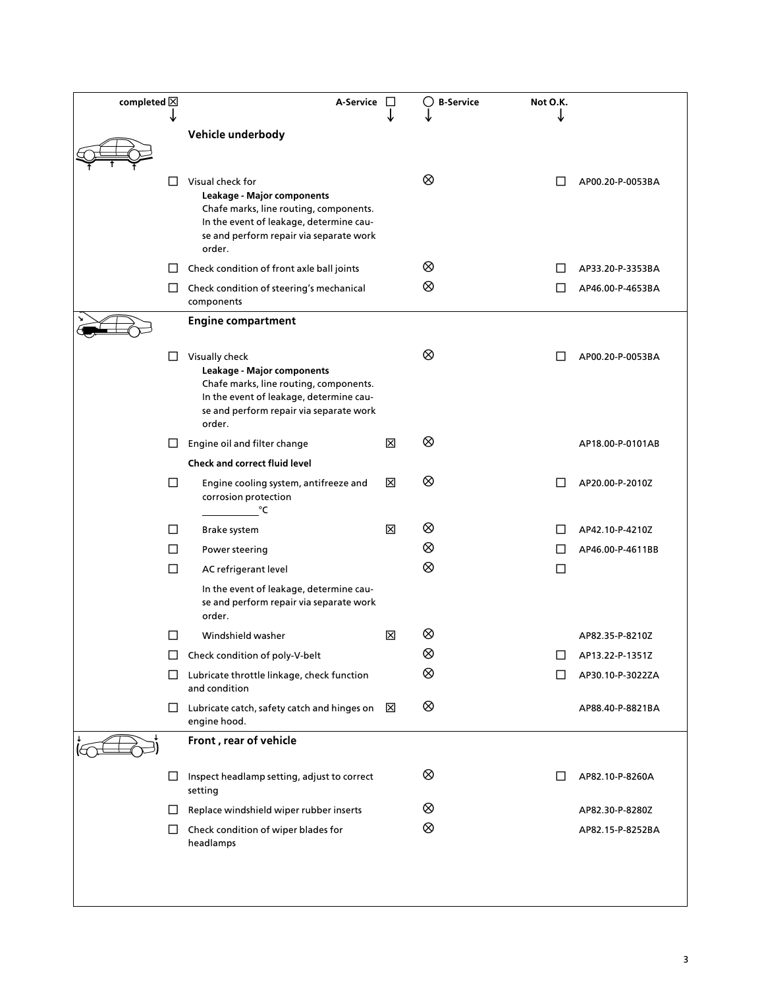| completed $\boxtimes$ |        | A-Service                                                                                                                                                                                |   | $\left(\begin{array}{c} 1 \end{array}\right)$<br><b>B-Service</b> | Not O.K. |                  |
|-----------------------|--------|------------------------------------------------------------------------------------------------------------------------------------------------------------------------------------------|---|-------------------------------------------------------------------|----------|------------------|
|                       |        | Vehicle underbody                                                                                                                                                                        |   |                                                                   |          |                  |
|                       |        |                                                                                                                                                                                          |   |                                                                   |          |                  |
|                       | LI     | Visual check for<br>Leakage - Major components<br>Chafe marks, line routing, components.<br>In the event of leakage, determine cau-<br>se and perform repair via separate work<br>order. |   | ⊗                                                                 |          | AP00.20-P-0053BA |
|                       | LI     | Check condition of front axle ball joints                                                                                                                                                |   | ⊗                                                                 |          | AP33.20-P-3353BA |
|                       | ப      | Check condition of steering's mechanical<br>components                                                                                                                                   |   | ⊗                                                                 |          | AP46.00-P-4653BA |
|                       |        | <b>Engine compartment</b>                                                                                                                                                                |   |                                                                   |          |                  |
|                       | LI     | Visually check<br>Leakage - Major components<br>Chafe marks, line routing, components.<br>In the event of leakage, determine cau-<br>se and perform repair via separate work<br>order.   |   | ⊗                                                                 |          | AP00.20-P-0053BA |
|                       | ⊔      | Engine oil and filter change                                                                                                                                                             | 区 | ⊗                                                                 |          | AP18.00-P-0101AB |
|                       |        | <b>Check and correct fluid level</b>                                                                                                                                                     |   |                                                                   |          |                  |
|                       | $\Box$ | Engine cooling system, antifreeze and<br>corrosion protection<br>°C                                                                                                                      | ⊠ | ⊗                                                                 |          | AP20.00-P-2010Z  |
|                       | $\Box$ | Brake system                                                                                                                                                                             | ⊠ | ⊗                                                                 |          | AP42.10-P-4210Z  |
|                       | П      | Power steering                                                                                                                                                                           |   | ⊗                                                                 |          | AP46.00-P-4611BB |
|                       | $\Box$ | AC refrigerant level                                                                                                                                                                     |   | ⊗                                                                 | □        |                  |
|                       |        | In the event of leakage, determine cau-<br>se and perform repair via separate work<br>order.                                                                                             |   |                                                                   |          |                  |
|                       | □      | Windshield washer                                                                                                                                                                        | ⊠ | ⊗                                                                 |          | AP82.35-P-8210Z  |
|                       | ப      | Check condition of poly-V-belt                                                                                                                                                           |   | ⊗                                                                 |          | AP13.22-P-1351Z  |
|                       | ⊔      | Lubricate throttle linkage, check function<br>and condition                                                                                                                              |   | ⊗                                                                 |          | AP30.10-P-3022ZA |
|                       | ⊔      | Lubricate catch, safety catch and hinges on<br>engine hood.                                                                                                                              | × | ⊗                                                                 |          | AP88.40-P-8821BA |
|                       |        | Front, rear of vehicle                                                                                                                                                                   |   |                                                                   |          |                  |
|                       | ⊔      | Inspect headlamp setting, adjust to correct<br>setting                                                                                                                                   |   | ⊗                                                                 |          | AP82.10-P-8260A  |
|                       | ப      | Replace windshield wiper rubber inserts                                                                                                                                                  |   | ⊗                                                                 |          | AP82.30-P-8280Z  |
|                       | $\Box$ | Check condition of wiper blades for<br>headlamps                                                                                                                                         |   | ⊗                                                                 |          | AP82.15-P-8252BA |
|                       |        |                                                                                                                                                                                          |   |                                                                   |          |                  |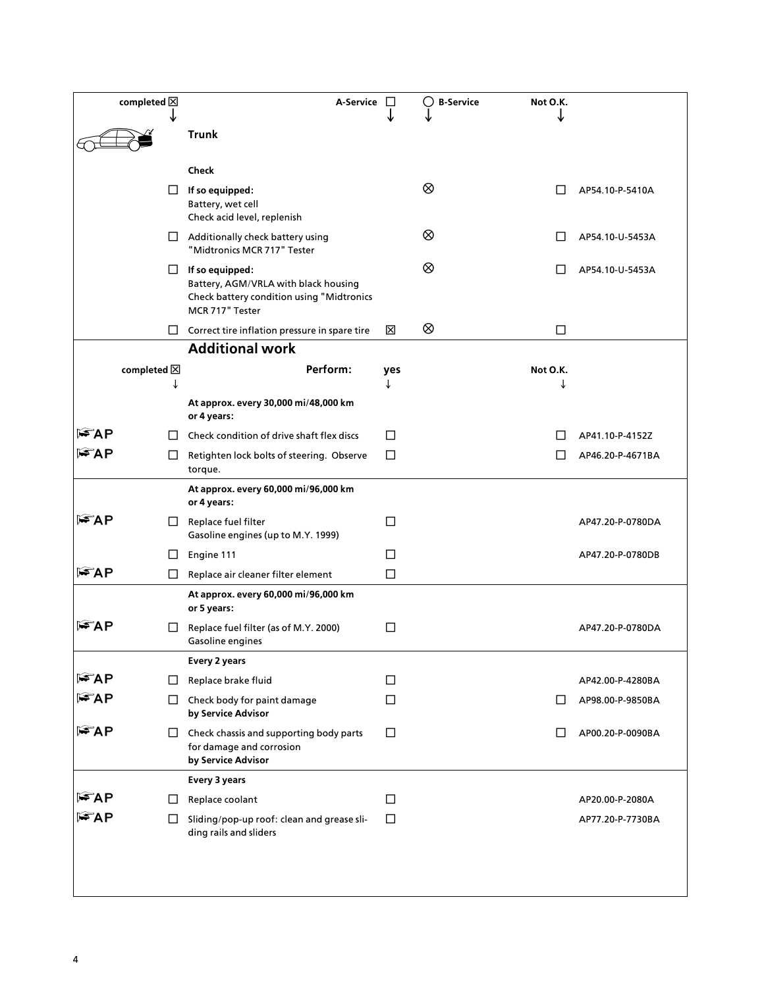|       | completed $\boxtimes$ | A-Service                                                                                                                      |        | ◯<br><b>B-Service</b> | Not O.K.     |                  |
|-------|-----------------------|--------------------------------------------------------------------------------------------------------------------------------|--------|-----------------------|--------------|------------------|
|       |                       | <b>Trunk</b>                                                                                                                   |        |                       |              |                  |
|       |                       |                                                                                                                                |        |                       |              |                  |
|       |                       | Check                                                                                                                          |        |                       |              |                  |
|       | $\Box$                | If so equipped:<br>Battery, wet cell<br>Check acid level, replenish                                                            |        | ⊗                     |              | AP54.10-P-5410A  |
|       | $\Box$                | Additionally check battery using<br>"Midtronics MCR 717" Tester                                                                |        | ⊗                     |              | AP54.10-U-5453A  |
|       |                       | $\Box$ If so equipped:<br>Battery, AGM/VRLA with black housing<br>Check battery condition using "Midtronics<br>MCR 717" Tester |        | ⊗                     |              | AP54.10-U-5453A  |
|       |                       | $\Box$ Correct tire inflation pressure in spare tire                                                                           | ⊠      | ⊗                     | $\Box$       |                  |
|       |                       | <b>Additional work</b>                                                                                                         |        |                       |              |                  |
|       | completed $\boxtimes$ | Perform:                                                                                                                       | yes    |                       | Not O.K.     |                  |
|       | T                     |                                                                                                                                |        |                       |              |                  |
|       |                       | At approx. every 30,000 mi/48,000 km<br>or 4 years:                                                                            |        |                       |              |                  |
| l FAP | $\mathsf{L}$          | Check condition of drive shaft flex discs                                                                                      | П      |                       |              | AP41.10-P-4152Z  |
| l FAP | ⊔                     | Retighten lock bolts of steering. Observe<br>torque.                                                                           | $\Box$ |                       |              | AP46.20-P-4671BA |
|       |                       | At approx. every 60,000 mi/96,000 km<br>or 4 years:                                                                            |        |                       |              |                  |
| l FAP | ப                     | Replace fuel filter<br>Gasoline engines (up to M.Y. 1999)                                                                      | □      |                       |              | AP47.20-P-0780DA |
|       | $\Box$                | Engine 111                                                                                                                     | П      |                       |              | AP47.20-P-0780DB |
| FAP   | ⊔                     | Replace air cleaner filter element                                                                                             | □      |                       |              |                  |
|       |                       | At approx. every 60,000 mi/96,000 km<br>or 5 years:                                                                            |        |                       |              |                  |
| l≌AP  | $\Box$                | Replace fuel filter (as of M.Y. 2000)<br>Gasoline engines                                                                      | □      |                       |              | AP47.20-P-0780DA |
|       |                       | <b>Every 2 years</b>                                                                                                           |        |                       |              |                  |
| l FAP | $\Box$                | Replace brake fluid                                                                                                            | $\Box$ |                       |              | AP42.00-P-4280BA |
| l FAP | $\Box$                | Check body for paint damage<br>by Service Advisor                                                                              | □      |                       |              | AP98.00-P-9850BA |
| l FAP | ⊔                     | Check chassis and supporting body parts<br>for damage and corrosion<br>by Service Advisor                                      | □      |                       | $\mathsf{L}$ | AP00.20-P-0090BA |
|       |                       | Every 3 years                                                                                                                  |        |                       |              |                  |
| l≈AP  | $\Box$                | Replace coolant                                                                                                                | □      |                       |              | AP20.00-P-2080A  |
| l FAP | $\Box$                | Sliding/pop-up roof: clean and grease sli-<br>ding rails and sliders                                                           | □      |                       |              | AP77.20-P-7730BA |
|       |                       |                                                                                                                                |        |                       |              |                  |